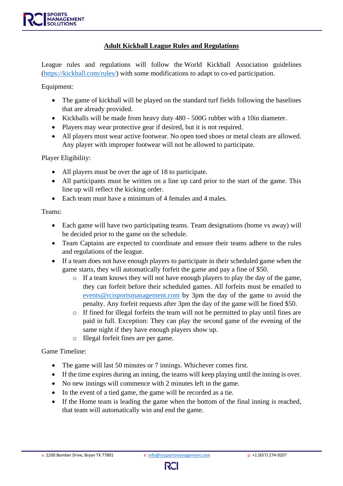### **Adult Kickball League Rules and Regulations**

League rules and regulations will follow the World Kickball Association guidelines [\(https://kickball.com/rules/\)](https://kickball.com/rules/) with some modifications to adapt to co-ed participation.

Equipment:

- The game of kickball will be played on the standard turf fields following the baselines that are already provided.
- Kickballs will be made from heavy duty 480 500G rubber with a 10in diameter.
- Players may wear protective gear if desired, but it is not required.
- All players must wear active footwear. No open toed shoes or metal cleats are allowed. Any player with improper footwear will not be allowed to participate.

Player Eligibility:

- All players must be over the age of 18 to participate.
- All participants must be written on a line up card prior to the start of the game. This line up will reflect the kicking order.
- Each team must have a minimum of 4 females and 4 males.

Teams:

- Each game will have two participating teams. Team designations (home vs away) will be decided prior to the game on the schedule.
- Team Captains are expected to coordinate and ensure their teams adhere to the rules and regulations of the league.
- If a team does not have enough players to participate in their scheduled game when the game starts, they will automatically forfeit the game and pay a fine of \$50.
	- o If a team knows they will not have enough players to play the day of the game, they can forfeit before their scheduled games. All forfeits must be emailed to [events@rcisportsmanagement.com](mailto:events@rcisportsmanagement.com) by 3pm the day of the game to avoid the penalty. Any forfeit requests after 3pm the day of the game will be fined \$50.
	- o If fined for illegal forfeits the team will not be permitted to play until fines are paid in full. Exception: They can play the second game of the evening of the same night if they have enough players show up.
	- o Illegal forfeit fines are per game.

Game Timeline:

- The game will last 50 minutes or 7 innings. Whichever comes first.
- If the time expires during an inning, the teams will keep playing until the inning is over.
- No new innings will commence with 2 minutes left in the game.
- In the event of a tied game, the game will be recorded as a tie.
- If the Home team is leading the game when the bottom of the final inning is reached, that team will automatically win and end the game.

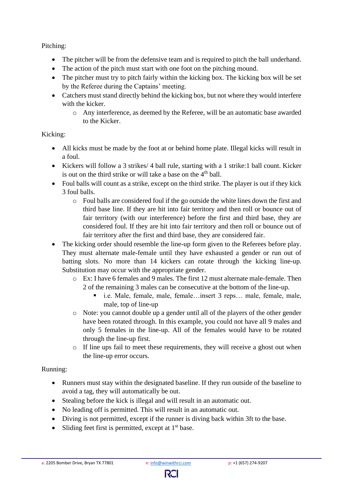Pitching:

- The pitcher will be from the defensive team and is required to pitch the ball underhand.
- The action of the pitch must start with one foot on the pitching mound.
- The pitcher must try to pitch fairly within the kicking box. The kicking box will be set by the Referee during the Captains' meeting.
- Catchers must stand directly behind the kicking box, but not where they would interfere with the kicker.
	- o Any interference, as deemed by the Referee, will be an automatic base awarded to the Kicker.

## Kicking:

- All kicks must be made by the foot at or behind home plate. Illegal kicks will result in a foul.
- Kickers will follow a 3 strikes/ 4 ball rule, starting with a 1 strike:1 ball count. Kicker is out on the third strike or will take a base on the  $4<sup>th</sup>$  ball.
- Foul balls will count as a strike, except on the third strike. The player is out if they kick 3 foul balls.
	- o Foul balls are considered foul if the go outside the white lines down the first and third base line. If they are hit into fair territory and then roll or bounce out of fair territory (with our interference) before the first and third base, they are considered foul. If they are hit into fair territory and then roll or bounce out of fair territory after the first and third base, they are considered fair.
- The kicking order should resemble the line-up form given to the Referees before play. They must alternate male-female until they have exhausted a gender or run out of batting slots. No more than 14 kickers can rotate through the kicking line-up. Substitution may occur with the appropriate gender.
	- o Ex: I have 6 females and 9 males. The first 12 must alternate male-female. Then 2 of the remaining 3 males can be consecutive at the bottom of the line-up.
		- i.e. Male, female, male, female…insert 3 reps... male, female, male, male, top of line-up
	- o Note: you cannot double up a gender until all of the players of the other gender have been rotated through. In this example, you could not have all 9 males and only 5 females in the line-up. All of the females would have to be rotated through the line-up first.
	- o If line ups fail to meet these requirements, they will receive a ghost out when the line-up error occurs.

# Running:

- Runners must stay within the designated baseline. If they run outside of the baseline to avoid a tag, they will automatically be out.
- Stealing before the kick is illegal and will result in an automatic out.
- No leading off is permitted. This will result in an automatic out.
- Diving is not permitted, except if the runner is diving back within 3ft to the base.
- Sliding feet first is permitted, except at  $1<sup>st</sup>$  base.